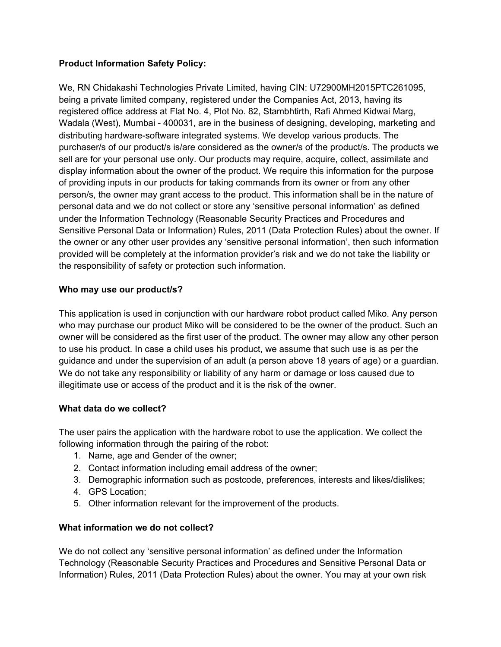# **Product Information Safety Policy:**

We, RN Chidakashi Technologies Private Limited, having CIN: U72900MH2015PTC261095, being a private limited company, registered under the Companies Act, 2013, having its registered office address at Flat No. 4, Plot No. 82, Stambhtirth, Rafi Ahmed Kidwai Marg, Wadala (West), Mumbai - 400031, are in the business of designing, developing, marketing and distributing hardware-software integrated systems. We develop various products. The purchaser/s of our product/s is/are considered as the owner/s of the product/s. The products we sell are for your personal use only. Our products may require, acquire, collect, assimilate and display information about the owner of the product. We require this information for the purpose of providing inputs in our products for taking commands from its owner or from any other person/s, the owner may grant access to the product. This information shall be in the nature of personal data and we do not collect or store any 'sensitive personal information' as defined under the Information Technology (Reasonable Security Practices and Procedures and Sensitive Personal Data or Information) Rules, 2011 (Data Protection Rules) about the owner. If the owner or any other user provides any 'sensitive personal information', then such information provided will be completely at the information provider's risk and we do not take the liability or the responsibility of safety or protection such information.

# **Who may use our product/s?**

This application is used in conjunction with our hardware robot product called Miko. Any person who may purchase our product Miko will be considered to be the owner of the product. Such an owner will be considered as the first user of the product. The owner may allow any other person to use his product. In case a child uses his product, we assume that such use is as per the guidance and under the supervision of an adult (a person above 18 years of age) or a guardian. We do not take any responsibility or liability of any harm or damage or loss caused due to illegitimate use or access of the product and it is the risk of the owner.

# **What data do we collect?**

The user pairs the application with the hardware robot to use the application. We collect the following information through the pairing of the robot:

- 1. Name, age and Gender of the owner;
- 2. Contact information including email address of the owner;
- 3. Demographic information such as postcode, preferences, interests and likes/dislikes;
- 4. GPS Location;
- 5. Other information relevant for the improvement of the products.

# **What information we do not collect?**

We do not collect any 'sensitive personal information' as defined under the Information Technology (Reasonable Security Practices and Procedures and Sensitive Personal Data or Information) Rules, 2011 (Data Protection Rules) about the owner. You may at your own risk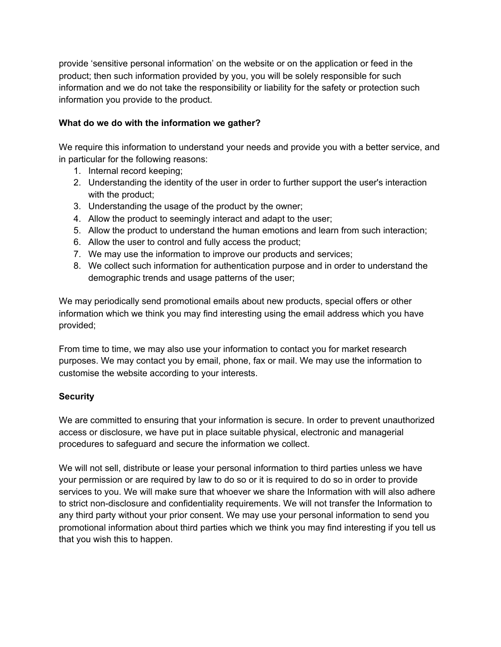provide 'sensitive personal information' on the website or on the application or feed in the product; then such information provided by you, you will be solely responsible for such information and we do not take the responsibility or liability for the safety or protection such information you provide to the product.

# **What do we do with the information we gather?**

We require this information to understand your needs and provide you with a better service, and in particular for the following reasons:

- 1. Internal record keeping;
- 2. Understanding the identity of the user in order to further support the user's interaction with the product;
- 3. Understanding the usage of the product by the owner;
- 4. Allow the product to seemingly interact and adapt to the user;
- 5. Allow the product to understand the human emotions and learn from such interaction;
- 6. Allow the user to control and fully access the product;
- 7. We may use the information to improve our products and services;
- 8. We collect such information for authentication purpose and in order to understand the demographic trends and usage patterns of the user;

We may periodically send promotional emails about new products, special offers or other information which we think you may find interesting using the email address which you have provided;

From time to time, we may also use your information to contact you for market research purposes. We may contact you by email, phone, fax or mail. We may use the information to customise the website according to your interests.

# **Security**

We are committed to ensuring that your information is secure. In order to prevent unauthorized access or disclosure, we have put in place suitable physical, electronic and managerial procedures to safeguard and secure the information we collect.

We will not sell, distribute or lease your personal information to third parties unless we have your permission or are required by law to do so or it is required to do so in order to provide services to you. We will make sure that whoever we share the Information with will also adhere to strict non-disclosure and confidentiality requirements. We will not transfer the Information to any third party without your prior consent. We may use your personal information to send you promotional information about third parties which we think you may find interesting if you tell us that you wish this to happen.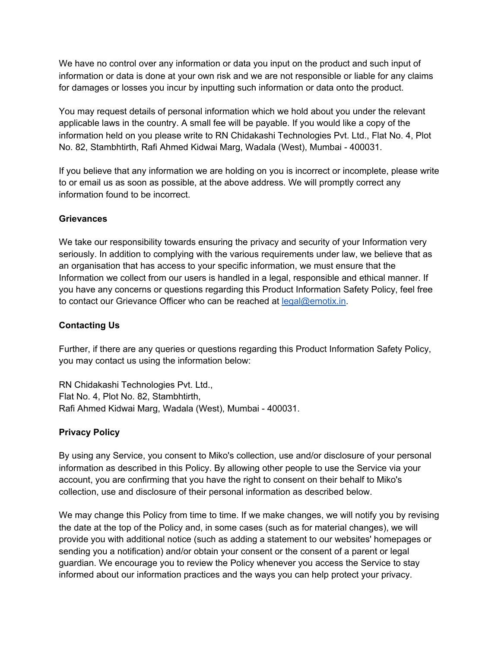We have no control over any information or data you input on the product and such input of information or data is done at your own risk and we are not responsible or liable for any claims for damages or losses you incur by inputting such information or data onto the product.

You may request details of personal information which we hold about you under the relevant applicable laws in the country. A small fee will be payable. If you would like a copy of the information held on you please write to RN Chidakashi Technologies Pvt. Ltd., Flat No. 4, Plot No. 82, Stambhtirth, Rafi Ahmed Kidwai Marg, Wadala (West), Mumbai - 400031.

If you believe that any information we are holding on you is incorrect or incomplete, please write to or email us as soon as possible, at the above address. We will promptly correct any information found to be incorrect.

### **Grievances**

We take our responsibility towards ensuring the privacy and security of your Information very seriously. In addition to complying with the various requirements under law, we believe that as an organisation that has access to your specific information, we must ensure that the Information we collect from our users is handled in a legal, responsible and ethical manner. If you have any concerns or questions regarding this Product Information Safety Policy, feel free to contact our Grievance Officer who can be reached at [legal@emotix.in.](mailto:legal@emotix.in)

# **Contacting Us**

Further, if there are any queries or questions regarding this Product Information Safety Policy, you may contact us using the information below:

RN Chidakashi Technologies Pvt. Ltd., Flat No. 4, Plot No. 82, Stambhtirth, Rafi Ahmed Kidwai Marg, Wadala (West), Mumbai - 400031.

# **Privacy Policy**

By using any Service, you consent to Miko's collection, use and/or disclosure of your personal information as described in this Policy. By allowing other people to use the Service via your account, you are confirming that you have the right to consent on their behalf to Miko's collection, use and disclosure of their personal information as described below.

We may change this Policy from time to time. If we make changes, we will notify you by revising the date at the top of the Policy and, in some cases (such as for material changes), we will provide you with additional notice (such as adding a statement to our websites' homepages or sending you a notification) and/or obtain your consent or the consent of a parent or legal guardian. We encourage you to review the Policy whenever you access the Service to stay informed about our information practices and the ways you can help protect your privacy.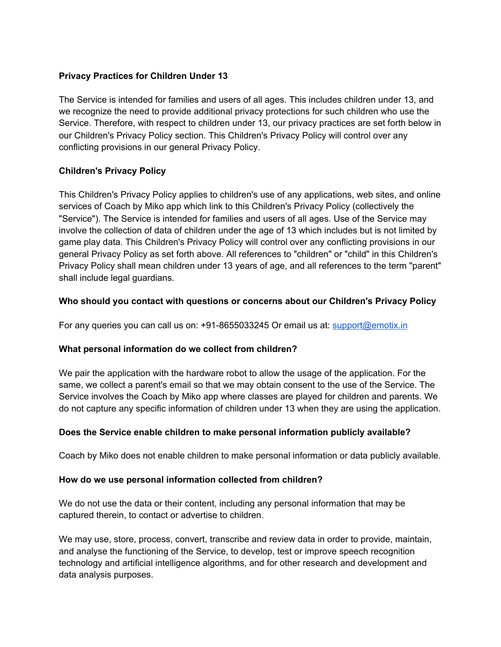# **Privacy Practices for Children Under 13**

The Service is intended for families and users of all ages. This includes children under 13, and we recognize the need to provide additional privacy protections for such children who use the Service. Therefore, with respect to children under 13, our privacy practices are set forth below in our Children's Privacy Policy section. This Children's Privacy Policy will control over any conflicting provisions in our general Privacy Policy.

### **Children's Privacy Policy**

This Children's Privacy Policy applies to children's use of any applications, web sites, and online services of Coach by Miko app which link to this Children's Privacy Policy (collectively the "Service"). The Service is intended for families and users of all ages. Use of the Service may involve the collection of data of children under the age of 13 which includes but is not limited by game play data. This Children's Privacy Policy will control over any conflicting provisions in our general Privacy Policy as set forth above. All references to "children" or "child" in this Children's Privacy Policy shall mean children under 13 years of age, and all references to the term "parent" shall include legal guardians.

### **Who should you contact with questions or concerns about our Children's Privacy Policy**

For any queries you can call us on: +91-8655033245 Or email us at: [support@emotix.in](mailto:support@emotix.in)

### **What personal information do we collect from children?**

We pair the application with the hardware robot to allow the usage of the application. For the same, we collect a parent's email so that we may obtain consent to the use of the Service. The Service involves the Coach by Miko app where classes are played for children and parents. We do not capture any specific information of children under 13 when they are using the application.

### **Does the Service enable children to make personal information publicly available?**

Coach by Miko does not enable children to make personal information or data publicly available.

### **How do we use personal information collected from children?**

We do not use the data or their content, including any personal information that may be captured therein, to contact or advertise to children.

We may use, store, process, convert, transcribe and review data in order to provide, maintain, and analyse the functioning of the Service, to develop, test or improve speech recognition technology and artificial intelligence algorithms, and for other research and development and data analysis purposes.